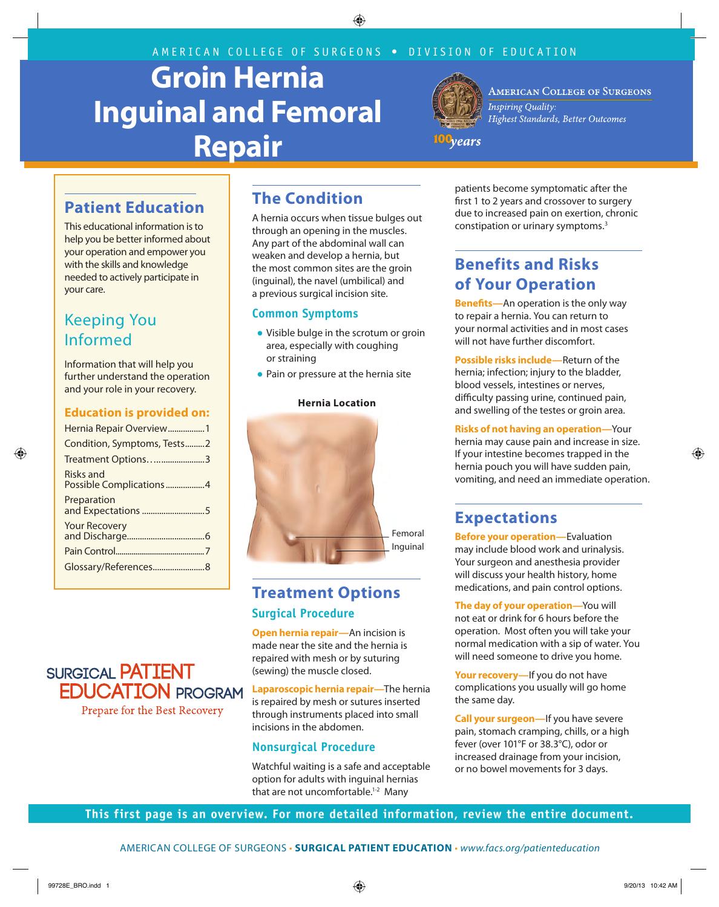AMERICAN COLLEGE OF SURGEONS • DIVISION OF EDUCATION

# **Groin Hernia Inguinal and Femoral Repair**



**AMERICAN COLLEGE OF SURGEONS Inspiring Quality:** Highest Standards, Better Outcomes

100<sub>years</sub>

## **Patient Education**

This educational information is to help you be better informed about your operation and empower you with the skills and knowledge needed to actively participate in your care.

## Keeping You Informed

Information that will help you further understand the operation and your role in your recovery.

#### **Education is provided on:**

### **SURGICAL PATIENT EDUCATION PROGRAM** Prepare for the Best Recovery

## **The Condition**

A hernia occurs when tissue bulges out through an opening in the muscles. Any part of the abdominal wall can weaken and develop a hernia, but the most common sites are the groin (inguinal), the navel (umbilical) and a previous surgical incision site.

#### **Common Symptoms**

- Visible bulge in the scrotum or groin area, especially with coughing or straining
- Pain or pressure at the hernia site



## **Treatment Options Surgical Procedure**

**Open hernia repair—**An incision is made near the site and the hernia is repaired with mesh or by suturing (sewing) the muscle closed.

**Laparoscopic hernia repair—**The hernia is repaired by mesh or sutures inserted through instruments placed into small incisions in the abdomen.

#### **Nonsurgical Procedure**

Watchful waiting is a safe and acceptable option for adults with inguinal hernias that are not uncomfortable.<sup>1-2</sup> Many

patients become symptomatic after the first 1 to 2 years and crossover to surgery due to increased pain on exertion, chronic constipation or urinary symptoms.3

## **Benefits and Risks of Your Operation**

**Benefits—**An operation is the only way to repair a hernia. You can return to your normal activities and in most cases will not have further discomfort.

**Possible risks include—**Return of the hernia; infection; injury to the bladder, blood vessels, intestines or nerves, difficulty passing urine, continued pain, and swelling of the testes or groin area.

**Risks of not having an operation—**Your hernia may cause pain and increase in size. If your intestine becomes trapped in the hernia pouch you will have sudden pain, vomiting, and need an immediate operation.

## **Expectations**

**Before your operation—**Evaluation may include blood work and urinalysis. Your surgeon and anesthesia provider will discuss your health history, home medications, and pain control options.

**The day of your operation—**You will not eat or drink for 6 hours before the operation. Most often you will take your normal medication with a sip of water. You will need someone to drive you home.

**Your recovery—**If you do not have complications you usually will go home the same day.

**Call your surgeon—**If you have severe pain, stomach cramping, chills, or a high fever (over 101°F or 38.3°C), odor or increased drainage from your incision, or no bowel movements for 3 days.

**This first page is an overview. For more detailed information, review the entire document.**

AMERICAN COLLEGE OF SURGEONS • **SURGICAL PATIENT EDUCATION** • *www.facs.org/patienteducation*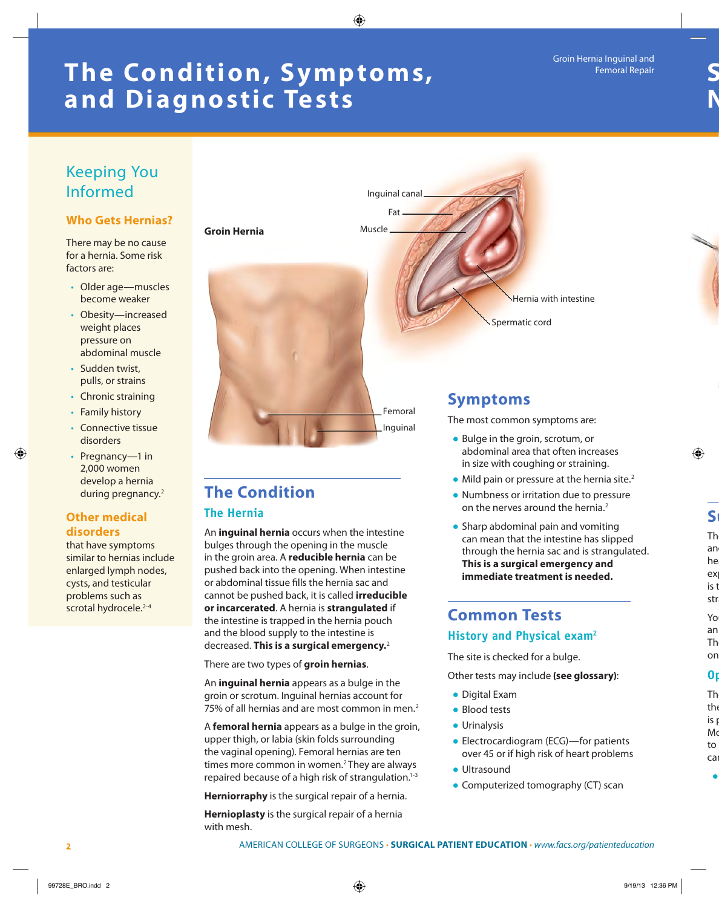## **The Condition, Symptoms, and Diagnostic Tests**

#### Keeping You Informed **Who Gets Hernias?** There may be no cause for a hernia. Some risk • Older age—muscles become weaker • Obesity—increased weight places pressure on abdominal muscle • Sudden twist, pulls, or strains • Chronic straining • Family history • Connective tissue disorders **Symptoms**  The most common symptoms are: ● Bulge in the groin, scrotum, or **Groin Hernia** Hernia with intestine Femoral Inguinal Spermatic cord **Muscle** Fat Inguinal canal

• Pregnancy—1 in 2,000 women develop a hernia during pregnancy.<sup>2</sup>

#### **Other medical disorders**

factors are:

that have symptoms similar to hernias include enlarged lymph nodes, cysts, and testicular problems such as scrotal hydrocele.<sup>2-4</sup>

## **The Condition**

#### **The Hernia**

An **inguinal hernia** occurs when the intestine bulges through the opening in the muscle in the groin area. A **reducible hernia** can be pushed back into the opening. When intestine or abdominal tissue fills the hernia sac and cannot be pushed back, it is called **irreducible or incarcerated**. A hernia is **strangulated** if the intestine is trapped in the hernia pouch and the blood supply to the intestine is decreased. **This is a surgical emergency.**<sup>2</sup>

There are two types of **groin hernias**.

An **inguinal hernia** appears as a bulge in the groin or scrotum. Inguinal hernias account for 75% of all hernias and are most common in men.<sup>2</sup>

A **femoral hernia** appears as a bulge in the groin, upper thigh, or labia (skin folds surrounding the vaginal opening). Femoral hernias are ten times more common in women.<sup>2</sup> They are always repaired because of a high risk of strangulation.<sup>1-3</sup>

**Herniorraphy** is the surgical repair of a hernia.

**Hernioplasty** is the surgical repair of a hernia with mesh.

- abdominal area that often increases in size with coughing or straining.
- $\bullet$  Mild pain or pressure at the hernia site.<sup>2</sup>
- Numbness or irritation due to pressure on the nerves around the hernia<sup>2</sup>
- Sharp abdominal pain and vomiting can mean that the intestine has slipped through the hernia sac and is strangulated. **This is a surgical emergency and immediate treatment is needed.**

### **Common Tests History and Physical exam2**

The site is checked for a bulge.

Other tests may include **(see glossary)**:

- Digital Exam
- Blood tests
- Urinalysis
- Electrocardiogram (ECG)—for patients over 45 or if high risk of heart problems
- Ultrasound
- Computerized tomography (CT) scan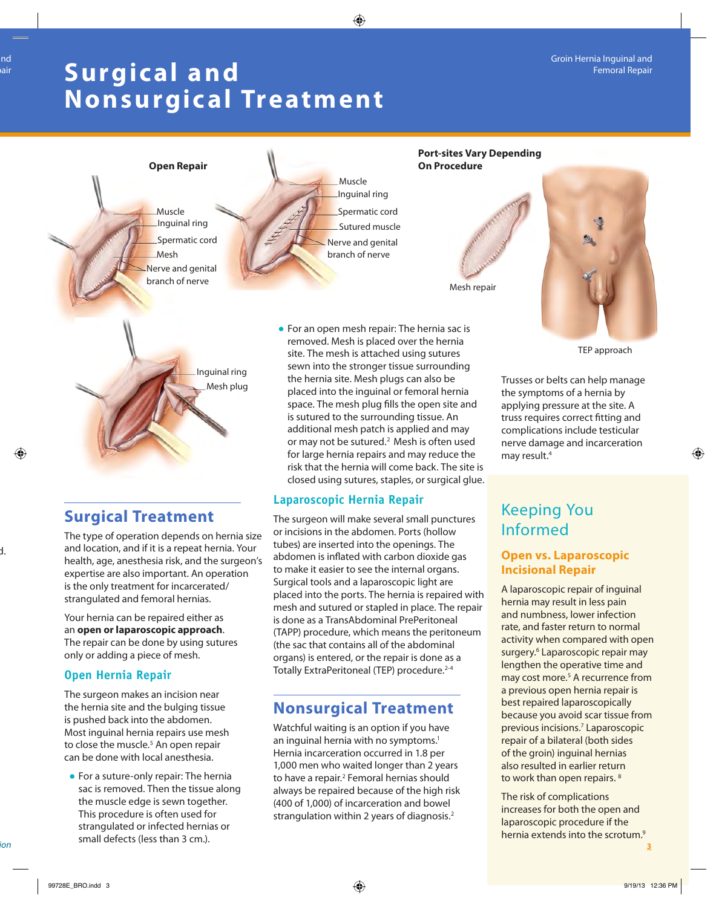## **Surgic al and Nonsurgical Treatment**



### **Surgical Treatment**

The type of operation depends on hernia size and location, and if it is a repeat hernia. Your health, age, anesthesia risk, and the surgeon's expertise are also important. An operation is the only treatment for incarcerated/ strangulated and femoral hernias.

Your hernia can be repaired either as an **open or laparoscopic approach**. The repair can be done by using sutures only or adding a piece of mesh.

#### **Open Hernia Repair**

The surgeon makes an incision near the hernia site and the bulging tissue is pushed back into the abdomen. Most inguinal hernia repairs use mesh to close the muscle.<sup>5</sup> An open repair can be done with local anesthesia.

● For a suture-only repair: The hernia sac is removed. Then the tissue along the muscle edge is sewn together. This procedure is often used for strangulated or infected hernias or small defects (less than 3 cm.). AMERICAN COLLEGE OF SURGICAL PATIES.

closed using sutures, staples, or surgical glue.

### **Laparoscopic Hernia Repair**

The surgeon will make several small punctures or incisions in the abdomen. Ports (hollow tubes) are inserted into the openings. The abdomen is inflated with carbon dioxide gas to make it easier to see the internal organs. Surgical tools and a laparoscopic light are placed into the ports. The hernia is repaired with mesh and sutured or stapled in place. The repair is done as a TransAbdominal PrePeritoneal (TAPP) procedure, which means the peritoneum (the sac that contains all of the abdominal organs) is entered, or the repair is done as a Totally ExtraPeritoneal (TEP) procedure.<sup>2-4</sup>

## **Nonsurgical Treatment**

Watchful waiting is an option if you have an inguinal hernia with no symptoms.<sup>1</sup> Hernia incarceration occurred in 1.8 per 1,000 men who waited longer than 2 years to have a repair.<sup>2</sup> Femoral hernias should always be repaired because of the high risk (400 of 1,000) of incarceration and bowel strangulation within 2 years of diagnosis.<sup>2</sup>

## Keeping You Informed

#### **Open vs. Laparoscopic Incisional Repair**

A laparoscopic repair of inguinal hernia may result in less pain and numbness, lower infection rate, and faster return to normal activity when compared with open surgery.<sup>6</sup> Laparoscopic repair may lengthen the operative time and may cost more.<sup>5</sup> A recurrence from a previous open hernia repair is best repaired laparoscopically because you avoid scar tissue from previous incisions.7 Laparoscopic repair of a bilateral (both sides of the groin) inguinal hernias also resulted in earlier return to work than open repairs.<sup>8</sup>

The risk of complications increases for both the open and laparoscopic procedure if the hernia extends into the scrotum.<sup>9</sup>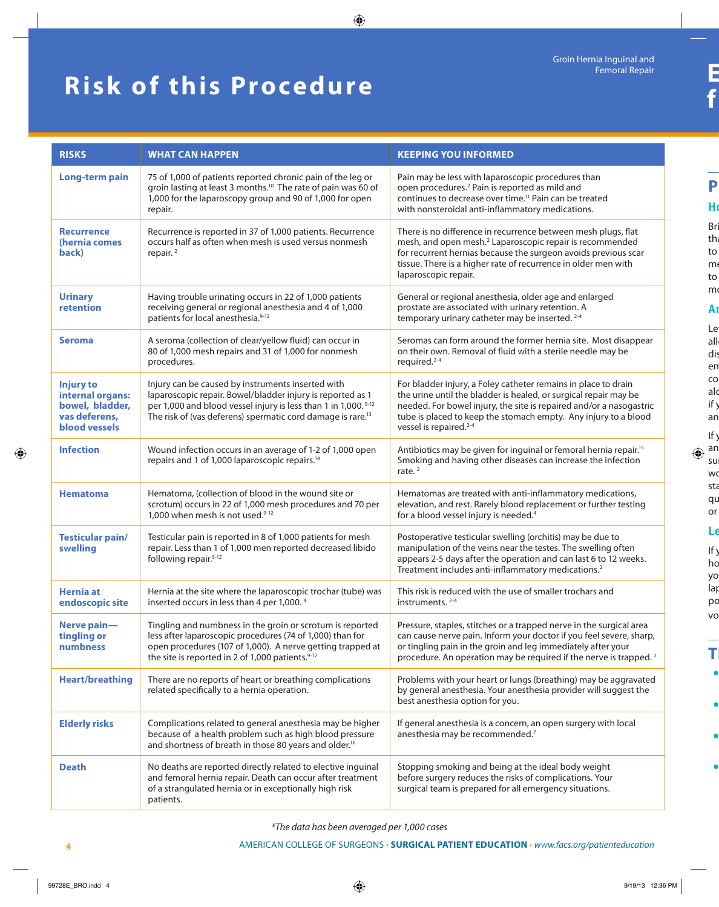## **Risk of this Procedure**

| <b>RISKS</b>                                                                                     | <b>WHAT CAN HAPPEN</b>                                                                                                                                                                                                                                                   | <b>KEEPING YOU INFORMED</b>                                                                                                                                                                                                                                                                                        |
|--------------------------------------------------------------------------------------------------|--------------------------------------------------------------------------------------------------------------------------------------------------------------------------------------------------------------------------------------------------------------------------|--------------------------------------------------------------------------------------------------------------------------------------------------------------------------------------------------------------------------------------------------------------------------------------------------------------------|
| Long-term pain                                                                                   | 75 of 1,000 of patients reported chronic pain of the leg or<br>groin lasting at least 3 months. <sup>10</sup> The rate of pain was 60 of<br>1,000 for the laparoscopy group and 90 of 1,000 for open<br>repair.                                                          | Pain may be less with laparoscopic procedures than<br>open procedures. <sup>2</sup> Pain is reported as mild and<br>continues to decrease over time. <sup>11</sup> Pain can be treated<br>with nonsteroidal anti-inflammatory medications.                                                                         |
| <b>Recurrence</b><br>(hernia comes<br>back)                                                      | Recurrence is reported in 37 of 1,000 patients. Recurrence<br>occurs half as often when mesh is used versus nonmesh<br>repair. <sup>2</sup>                                                                                                                              | There is no difference in recurrence between mesh plugs, flat<br>mesh, and open mesh. <sup>2</sup> Laparoscopic repair is recommended<br>for recurrent hernias because the surgeon avoids previous scar<br>tissue. There is a higher rate of recurrence in older men with<br>laparoscopic repair.                  |
| <b>Urinary</b><br>retention                                                                      | Having trouble urinating occurs in 22 of 1,000 patients<br>receiving general or regional anesthesia and 4 of 1,000<br>patients for local anesthesia.9-12                                                                                                                 | General or regional anesthesia, older age and enlarged<br>prostate are associated with urinary retention. A<br>temporary urinary catheter may be inserted. <sup>2-4</sup>                                                                                                                                          |
| <b>Seroma</b>                                                                                    | A seroma (collection of clear/yellow fluid) can occur in<br>80 of 1,000 mesh repairs and 31 of 1,000 for nonmesh<br>procedures.                                                                                                                                          | Seromas can form around the former hernia site. Most disappear<br>on their own. Removal of fluid with a sterile needle may be<br>required. <sup>2-4</sup>                                                                                                                                                          |
| <b>Injury to</b><br>internal organs:<br>bowel, bladder,<br>vas deferens,<br><b>blood vessels</b> | Injury can be caused by instruments inserted with<br>laparoscopic repair. Bowel/bladder injury is reported as 1<br>per 1,000 and blood vessel injury is less than 1 in 1,000. <sup>9-12</sup><br>The risk of (vas deferens) spermatic cord damage is rare. <sup>13</sup> | For bladder injury, a Foley catheter remains in place to drain<br>the urine until the bladder is healed, or surgical repair may be<br>needed. For bowel injury, the site is repaired and/or a nasogastric<br>tube is placed to keep the stomach empty. Any injury to a blood<br>vessel is repaired. <sup>2-4</sup> |
| <b>Infection</b>                                                                                 | Wound infection occurs in an average of 1-2 of 1,000 open<br>repairs and 1 of 1,000 laparoscopic repairs. <sup>14</sup>                                                                                                                                                  | Antibiotics may be given for inguinal or femoral hernia repair. <sup>15</sup><br>Smoking and having other diseases can increase the infection<br>rate. $2$                                                                                                                                                         |
| <b>Hematoma</b>                                                                                  | Hematoma, (collection of blood in the wound site or<br>scrotum) occurs in 22 of 1,000 mesh procedures and 70 per<br>1,000 when mesh is not used.9-12                                                                                                                     | Hematomas are treated with anti-inflammatory medications,<br>elevation, and rest. Rarely blood replacement or further testing<br>for a blood vessel injury is needed. <sup>4</sup>                                                                                                                                 |
| <b>Testicular pain/</b><br>swelling                                                              | Testicular pain is reported in 8 of 1,000 patients for mesh<br>repair. Less than 1 of 1,000 men reported decreased libido<br>following repair.9-12                                                                                                                       | Postoperative testicular swelling (orchitis) may be due to<br>manipulation of the veins near the testes. The swelling often<br>appears 2-5 days after the operation and can last 6 to 12 weeks.<br>Treatment includes anti-inflammatory medications. <sup>2</sup>                                                  |
| Hernia at<br>endoscopic site                                                                     | Hernia at the site where the laparoscopic trochar (tube) was<br>inserted occurs in less than 4 per 1,000. <sup>4</sup>                                                                                                                                                   | This risk is reduced with the use of smaller trochars and<br>instruments. $2-4$                                                                                                                                                                                                                                    |
| Nerve pain-<br>tingling or<br>numbness                                                           | Tingling and numbness in the groin or scrotum is reported<br>less after laparoscopic procedures (74 of 1,000) than for<br>open procedures (107 of 1,000). A nerve getting trapped at<br>the site is reported in 2 of 1,000 patients. <sup>9-12</sup>                     | Pressure, staples, stitches or a trapped nerve in the surgical area<br>can cause nerve pain. Inform your doctor if you feel severe, sharp,<br>or tingling pain in the groin and leg immediately after your<br>procedure. An operation may be required if the nerve is trapped. <sup>2</sup>                        |
| <b>Heart/breathing</b>                                                                           | There are no reports of heart or breathing complications<br>related specifically to a hernia operation.                                                                                                                                                                  | Problems with your heart or lungs (breathing) may be aggravated<br>by general anesthesia. Your anesthesia provider will suggest the<br>best anesthesia option for you.                                                                                                                                             |
| <b>Elderly risks</b>                                                                             | Complications related to general anesthesia may be higher<br>because of a health problem such as high blood pressure<br>and shortness of breath in those 80 years and older. <sup>16</sup>                                                                               | If general anesthesia is a concern, an open surgery with local<br>anesthesia may be recommended.7                                                                                                                                                                                                                  |
| <b>Death</b>                                                                                     | No deaths are reported directly related to elective inguinal<br>and femoral hernia repair. Death can occur after treatment<br>of a strangulated hernia or in exceptionally high risk<br>patients.                                                                        | Stopping smoking and being at the ideal body weight<br>before surgery reduces the risks of complications. Your<br>surgical team is prepared for all emergency situations.                                                                                                                                          |

*\*The data has been averaged per 1,000 cases*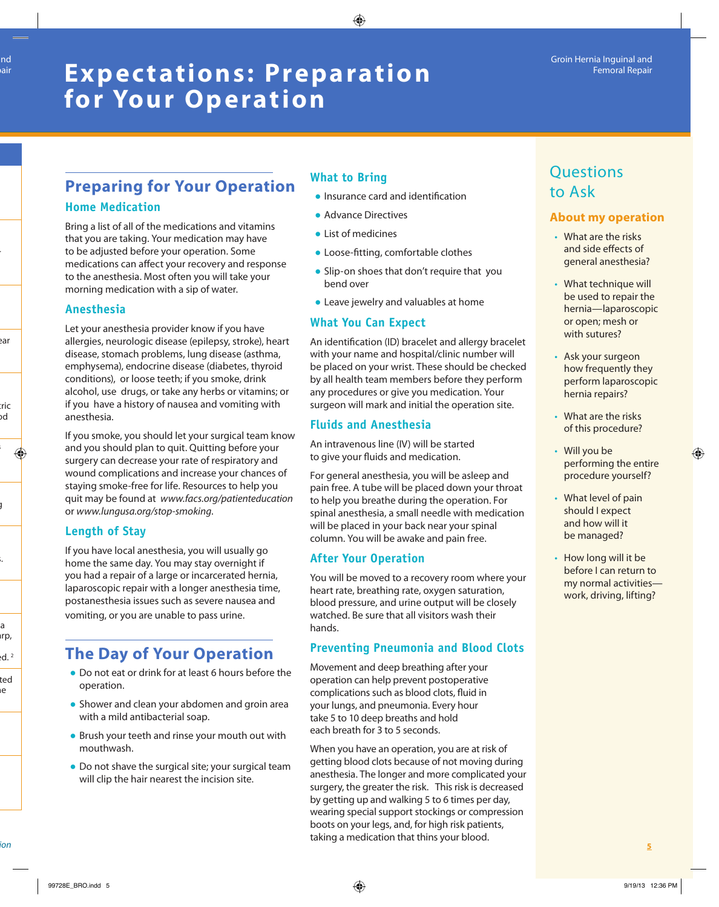## **Exp ec tations: Preparation for Your Operation**

## **Preparing for Your Operation Home Medication**

Bring a list of all of the medications and vitamins that you are taking. Your medication may have to be adjusted before your operation. Some medications can affect your recovery and response to the anesthesia. Most often you will take your morning medication with a sip of water.

#### **Anesthesia**

Let your anesthesia provider know if you have allergies, neurologic disease (epilepsy, stroke), heart disease, stomach problems, lung disease (asthma, emphysema), endocrine disease (diabetes, thyroid conditions), or loose teeth; if you smoke, drink alcohol, use drugs, or take any herbs or vitamins; or if you have a history of nausea and vomiting with anesthesia.

If you smoke, you should let your surgical team know and you should plan to quit. Quitting before your surgery can decrease your rate of respiratory and wound complications and increase your chances of staying smoke-free for life. Resources to help you quit may be found at *www.facs.org/patienteducation* or *www.lungusa.org/stop-smoking*.

#### **Length of Stay**

If you have local anesthesia, you will usually go home the same day. You may stay overnight if you had a repair of a large or incarcerated hernia, laparoscopic repair with a longer anesthesia time, postanesthesia issues such as severe nausea and vomiting, or you are unable to pass urine.

## **The Day of Your Operation**

- Do not eat or drink for at least 6 hours before the operation.
- Shower and clean your abdomen and groin area with a mild antibacterial soap.
- Brush your teeth and rinse your mouth out with mouthwash.
- Do not shave the surgical site; your surgical team will clip the hair nearest the incision site.

#### **What to Bring**

- Insurance card and identification
- Advance Directives
- List of medicines
- Loose-fitting, comfortable clothes
- Slip-on shoes that don't require that you bend over
- Leave jewelry and valuables at home

#### **What You Can Expect**

An identification (ID) bracelet and allergy bracelet with your name and hospital/clinic number will be placed on your wrist. These should be checked by all health team members before they perform any procedures or give you medication. Your surgeon will mark and initial the operation site.

#### **Fluids and Anesthesia**

An intravenous line (IV) will be started to give your fluids and medication.

For general anesthesia, you will be asleep and pain free. A tube will be placed down your throat to help you breathe during the operation. For spinal anesthesia, a small needle with medication will be placed in your back near your spinal column. You will be awake and pain free.

#### **After Your Operation**

You will be moved to a recovery room where your heart rate, breathing rate, oxygen saturation, blood pressure, and urine output will be closely watched. Be sure that all visitors wash their hands.

#### **Preventing Pneumonia and Blood Clots**

Movement and deep breathing after your operation can help prevent postoperative complications such as blood clots, fluid in your lungs, and pneumonia. Every hour take 5 to 10 deep breaths and hold each breath for 3 to 5 seconds.

When you have an operation, you are at risk of getting blood clots because of not moving during anesthesia. The longer and more complicated your surgery, the greater the risk. This risk is decreased by getting up and walking 5 to 6 times per day, wearing special support stockings or compression boots on your legs, and, for high risk patients, taking a medication that thins your blood. AMERICAN COLLEGE OF SURGEONS • **SURGICAL PATIENT EDUCATION** • *www.facs.org/patienteducation* **5**

## **Ouestions** to Ask

#### **About my operation**

- What are the risks and side effects of general anesthesia?
- What technique will be used to repair the hernia—laparoscopic or open; mesh or with sutures?
- Ask your surgeon how frequently they perform laparoscopic hernia repairs?
- What are the risks of this procedure?
- Will you be performing the entire procedure yourself?
- What level of pain should I expect and how will it be managed?
- How long will it be before I can return to my normal activities work, driving, lifting?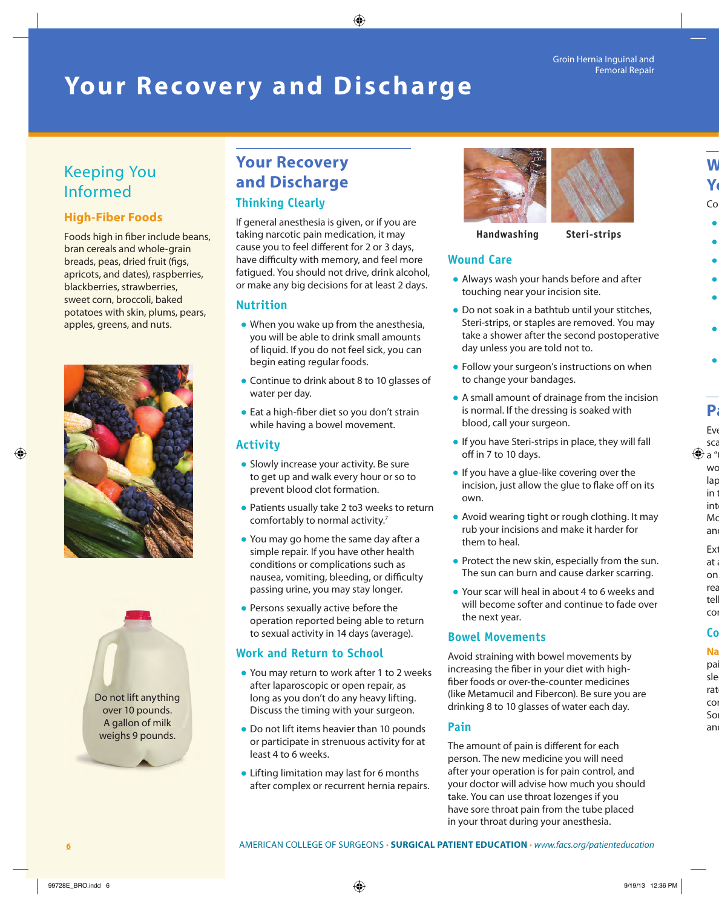#### Groin Hernia Inguinal and Femoral Repair

## **Your Recovery and Discharge**

## Keeping You Informed

#### **High-Fiber Foods**

Foods high in fiber include beans, bran cereals and whole-grain breads, peas, dried fruit (figs, apricots, and dates), raspberries, blackberries, strawberries, sweet corn, broccoli, baked potatoes with skin, plums, pears, apples, greens, and nuts.





## **Your Recovery and Discharge**

#### **Thinking Clearly**

If general anesthesia is given, or if you are taking narcotic pain medication, it may cause you to feel different for 2 or 3 days, have difficulty with memory, and feel more fatigued. You should not drive, drink alcohol, or make any big decisions for at least 2 days.

#### **Nutrition**

- When you wake up from the anesthesia, you will be able to drink small amounts of liquid. If you do not feel sick, you can begin eating regular foods.
- Continue to drink about 8 to 10 glasses of water per day.
- Eat a high-fiber diet so you don't strain while having a bowel movement.

#### **Activity**

- Slowly increase your activity. Be sure to get up and walk every hour or so to prevent blood clot formation.
- Patients usually take 2 to3 weeks to return comfortably to normal activity.7
- You may go home the same day after a simple repair. If you have other health conditions or complications such as nausea, vomiting, bleeding, or difficulty passing urine, you may stay longer.
- Persons sexually active before the operation reported being able to return to sexual activity in 14 days (average).

#### **Work and Return to School**

- You may return to work after 1 to 2 weeks after laparoscopic or open repair, as long as you don't do any heavy lifting. Discuss the timing with your surgeon.
- Do not lift items heavier than 10 pounds or participate in strenuous activity for at least 4 to 6 weeks.
- Lifting limitation may last for 6 months after complex or recurrent hernia repairs.



#### **Handwashing Steri-strips**

#### **Wound Care**

- Always wash your hands before and after touching near your incision site.
- Do not soak in a bathtub until your stitches, Steri-strips, or staples are removed. You may take a shower after the second postoperative day unless you are told not to.
- Follow your surgeon's instructions on when to change your bandages.
- A small amount of drainage from the incision is normal. If the dressing is soaked with blood, call your surgeon.
- If you have Steri-strips in place, they will fall off in 7 to 10 days.
- If you have a glue-like covering over the incision, just allow the glue to flake off on its own.
- Avoid wearing tight or rough clothing. It may rub your incisions and make it harder for them to heal.
- Protect the new skin, especially from the sun. The sun can burn and cause darker scarring.
- Your scar will heal in about 4 to 6 weeks and will become softer and continue to fade over the next year.

#### **Bowel Movements**

Avoid straining with bowel movements by increasing the fiber in your diet with highfiber foods or over-the-counter medicines (like Metamucil and Fibercon). Be sure you are drinking 8 to 10 glasses of water each day.

#### **Pain**

The amount of pain is different for each person. The new medicine you will need after your operation is for pain control, and your doctor will advise how much you should take. You can use throat lozenges if you have sore throat pain from the tube placed in your throat during your anesthesia.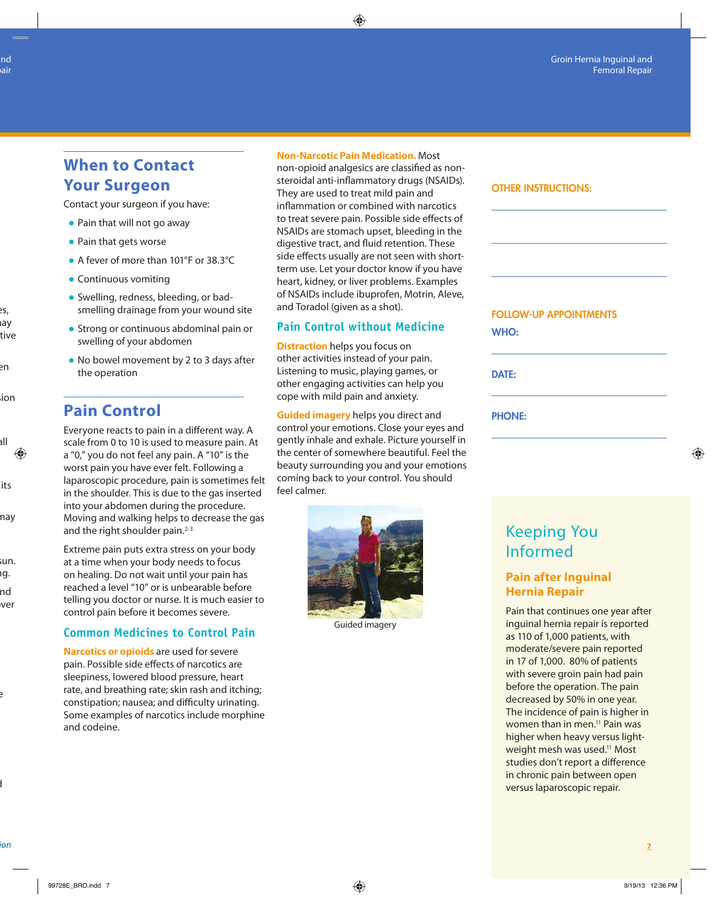### **When to Contact Your Surgeon**

Contact your surgeon if you have:

- Pain that will not go away
- Pain that gets worse
- A fever of more than 101°F or 38.3°C
- Continuous vomiting
- Swelling, redness, bleeding, or badsmelling drainage from your wound site
- Strong or continuous abdominal pain or swelling of your abdomen
- No bowel movement by 2 to 3 days after the operation

### **Pain Control**

Everyone reacts to pain in a different way. A scale from 0 to 10 is used to measure pain. At a "0," you do not feel any pain. A "10" is the worst pain you have ever felt. Following a laparoscopic procedure, pain is sometimes felt in the shoulder. This is due to the gas inserted into your abdomen during the procedure. Moving and walking helps to decrease the gas and the right shoulder pain. $2-3$ 

Extreme pain puts extra stress on your body at a time when your body needs to focus on healing. Do not wait until your pain has reached a level "10" or is unbearable before telling you doctor or nurse. It is much easier to control pain before it becomes severe.

#### **Common Medicines to Control Pain**

**Narcotics or opioids** are used for severe pain. Possible side effects of narcotics are sleepiness, lowered blood pressure, heart rate, and breathing rate; skin rash and itching; constipation; nausea; and difficulty urinating. Some examples of narcotics include morphine and codeine.

#### **Non-Narcotic Pain Medication.** Most

non-opioid analgesics are classified as nonsteroidal anti-inflammatory drugs (NSAIDs). They are used to treat mild pain and inflammation or combined with narcotics to treat severe pain. Possible side effects of NSAIDs are stomach upset, bleeding in the digestive tract, and fluid retention. These side effects usually are not seen with shortterm use. Let your doctor know if you have heart, kidney, or liver problems. Examples of NSAIDs include ibuprofen, Motrin, Aleve, and Toradol (given as a shot).

#### **Pain Control without Medicine**

**Distraction** helps you focus on other activities instead of your pain. Listening to music, playing games, or other engaging activities can help you cope with mild pain and anxiety.

**Guided imagery** helps you direct and control your emotions. Close your eyes and gently inhale and exhale. Picture yourself in the center of somewhere beautiful. Feel the beauty surrounding you and your emotions coming back to your control. You should feel calmer.



Guided imagery

FOLLOW-UP APPOINTMENTS WHO: DATE: PHONE:

OTHER INSTRUCTIONS:

## Keeping You Informed

#### **Pain after Inguinal Hernia Repair**

Pain that continues one year after inguinal hernia repair is reported as 110 of 1,000 patients, with moderate/severe pain reported in 17 of 1,000. 80% of patients with severe groin pain had pain before the operation. The pain decreased by 50% in one year. The incidence of pain is higher in women than in men.<sup>11</sup> Pain was higher when heavy versus lightweight mesh was used.<sup>11</sup> Most studies don't report a difference in chronic pain between open versus laparoscopic repair.